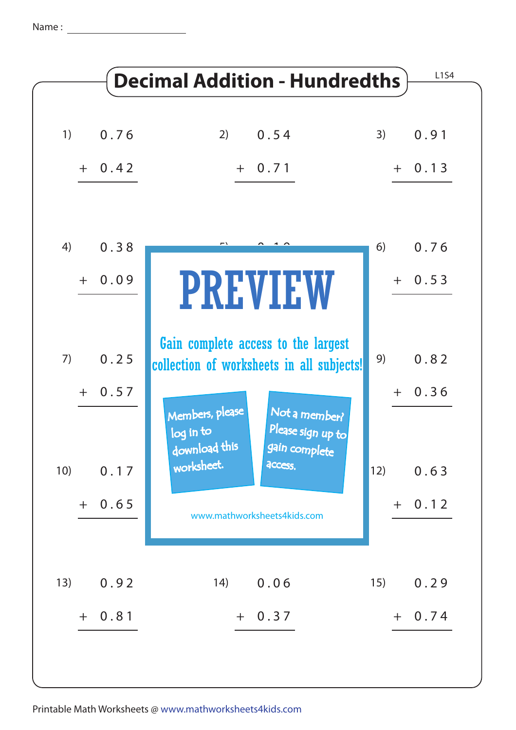